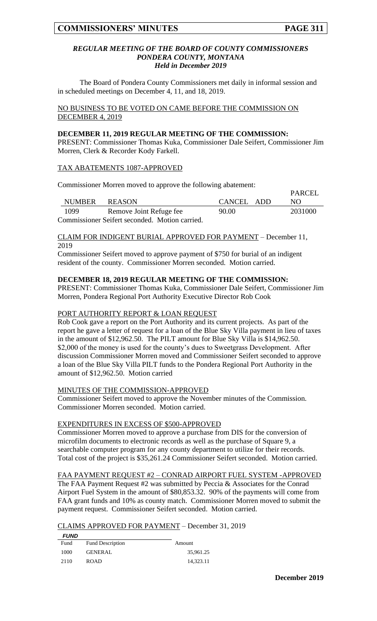$\overline{D}$ ADCEL

#### *REGULAR MEETING OF THE BOARD OF COUNTY COMMISSIONERS PONDERA COUNTY, MONTANA Held in December 2019*

The Board of Pondera County Commissioners met daily in informal session and in scheduled meetings on December 4, 11, and 18, 2019.

NO BUSINESS TO BE VOTED ON CAME BEFORE THE COMMISSION ON DECEMBER 4, 2019

#### **DECEMBER 11, 2019 REGULAR MEETING OF THE COMMISSION:**

PRESENT: Commissioner Thomas Kuka, Commissioner Dale Seifert, Commissioner Jim Morren, Clerk & Recorder Kody Farkell.

### TAX ABATEMENTS 1087-APPROVED

Commissioner Morren moved to approve the following abatement:

|                                                |                         |            | <b>FANCEL</b> |  |  |  |  |
|------------------------------------------------|-------------------------|------------|---------------|--|--|--|--|
| <b>NUMBER</b>                                  | REASON                  | CANCEL ADD | NO.           |  |  |  |  |
| 1099                                           | Remove Joint Refuge fee | 90.00      | 2031000       |  |  |  |  |
| Commissioner Seifert seconded. Motion carried. |                         |            |               |  |  |  |  |

#### CLAIM FOR INDIGENT BURIAL APPROVED FOR PAYMENT – December 11, 2019

Commissioner Seifert moved to approve payment of \$750 for burial of an indigent resident of the county. Commissioner Morren seconded. Motion carried.

# **DECEMBER 18, 2019 REGULAR MEETING OF THE COMMISSION:**

PRESENT: Commissioner Thomas Kuka, Commissioner Dale Seifert, Commissioner Jim Morren, Pondera Regional Port Authority Executive Director Rob Cook

# PORT AUTHORITY REPORT & LOAN REQUEST

Rob Cook gave a report on the Port Authority and its current projects. As part of the report he gave a letter of request for a loan of the Blue Sky Villa payment in lieu of taxes in the amount of \$12,962.50. The PILT amount for Blue Sky Villa is \$14,962.50. \$2,000 of the money is used for the county's dues to Sweetgrass Development. After discussion Commissioner Morren moved and Commissioner Seifert seconded to approve a loan of the Blue Sky Villa PILT funds to the Pondera Regional Port Authority in the amount of \$12,962.50. Motion carried

### MINUTES OF THE COMMISSION-APPROVED

Commissioner Seifert moved to approve the November minutes of the Commission. Commissioner Morren seconded. Motion carried.

### EXPENDITURES IN EXCESS OF \$500-APPROVED

Commissioner Morren moved to approve a purchase from DIS for the conversion of microfilm documents to electronic records as well as the purchase of Square 9, a searchable computer program for any county department to utilize for their records. Total cost of the project is \$35,261.24 Commissioner Seifert seconded. Motion carried.

FAA PAYMENT REQUEST #2 – CONRAD AIRPORT FUEL SYSTEM -APPROVED

The FAA Payment Request #2 was submitted by Peccia & Associates for the Conrad Airport Fuel System in the amount of \$80,853.32. 90% of the payments will come from FAA grant funds and 10% as county match. Commissioner Morren moved to submit the payment request. Commissioner Seifert seconded. Motion carried.

### CLAIMS APPROVED FOR PAYMENT – December 31, 2019

| <b>FUND</b> |                         |           |
|-------------|-------------------------|-----------|
| Fund        | <b>Fund Description</b> | Amount    |
| 1000        | <b>GENERAL</b>          | 35,961.25 |
| 2110        | <b>ROAD</b>             | 14,323.11 |